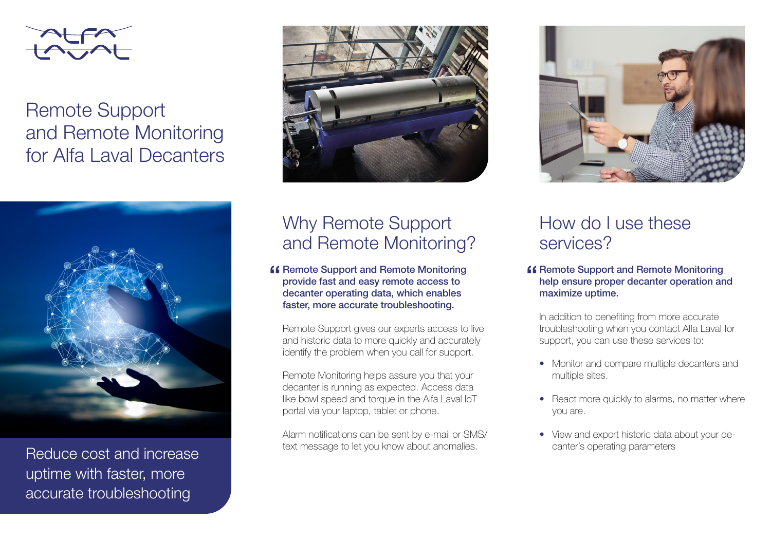

Remote Support and Remote Monitoring for Alfa Laval Decanters



Reduce cost and increase uptime with faster, more accurate troubleshooting



# Why Remote Support and Remote Monitoring?

**K** Remote Support and Remote Monitoring provide fast and easy remote access to decanter operating data, which enables faster, more accurate troubleshooting.

Remote Support gives our experts access to live and historic data to more quickly and accurately identify the problem when you call for support.

Remote Monitoring helps assure you that your decanter is running as expected. Access data like bowl speed and torque in the Alfa Laval IoT portal via your laptop, tablet or phone.

Alarm notifications can be sent by e-mail or SMS/ text message to let you know about anomalies.



## How do I use these services?

### **K** Remote Support and Remote Monitoring help ensure proper decanter operation and maximize uptime.

In addition to benefiting from more accurate troubleshooting when you contact Alfa Laval for support, you can use these services to:

- Monitor and compare multiple decanters and multiple sites.
- React more quickly to alarms, no matter where you are.
- View and export historic data about your decanter's operating parameters